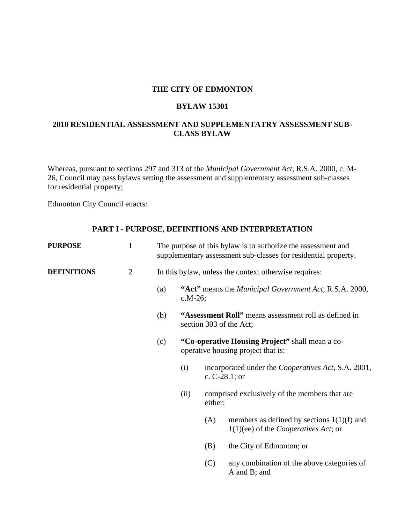## **THE CITY OF EDMONTON**

#### **BYLAW 15301**

# **2010 RESIDENTIAL ASSESSMENT AND SUPPLEMENTATRY ASSESSMENT SUB-CLASS BYLAW**

Whereas, pursuant to sections 297 and 313 of the *Municipal Government Act*, R.S.A. 2000, c. M-26, Council may pass bylaws setting the assessment and supplementary assessment sub-classes for residential property;

Edmonton City Council enacts:

## **PART I - PURPOSE, DEFINITIONS AND INTERPRETATION**

| <b>PURPOSE</b>     | $\mathbf{1}$   | The purpose of this bylaw is to authorize the assessment and<br>supplementary assessment sub-classes for residential property. |                                                                                  |                                                                                       |                                                                                                |  |  |
|--------------------|----------------|--------------------------------------------------------------------------------------------------------------------------------|----------------------------------------------------------------------------------|---------------------------------------------------------------------------------------|------------------------------------------------------------------------------------------------|--|--|
| <b>DEFINITIONS</b> | $\overline{2}$ | In this bylaw, unless the context otherwise requires:                                                                          |                                                                                  |                                                                                       |                                                                                                |  |  |
|                    |                | (a)                                                                                                                            | "Act" means the <i>Municipal Government Act</i> , R.S.A. 2000,<br>$c.M-26$ ;     |                                                                                       |                                                                                                |  |  |
|                    |                | (b)                                                                                                                            | "Assessment Roll" means assessment roll as defined in<br>section 303 of the Act; |                                                                                       |                                                                                                |  |  |
|                    |                | (c)                                                                                                                            |                                                                                  | "Co-operative Housing Project" shall mean a co-<br>operative housing project that is: |                                                                                                |  |  |
|                    |                |                                                                                                                                | (i)                                                                              |                                                                                       | incorporated under the <i>Cooperatives Act</i> , S.A. 2001,<br>c. $C-28.1$ ; or                |  |  |
|                    |                |                                                                                                                                | (ii)                                                                             | either;                                                                               | comprised exclusively of the members that are                                                  |  |  |
|                    |                |                                                                                                                                |                                                                                  | (A)                                                                                   | members as defined by sections $1(1)(f)$ and<br>$1(1)(ee)$ of the <i>Cooperatives Act</i> ; or |  |  |
|                    |                |                                                                                                                                |                                                                                  | (B)                                                                                   | the City of Edmonton; or                                                                       |  |  |
|                    |                |                                                                                                                                |                                                                                  | (C)                                                                                   | any combination of the above categories of<br>A and B; and                                     |  |  |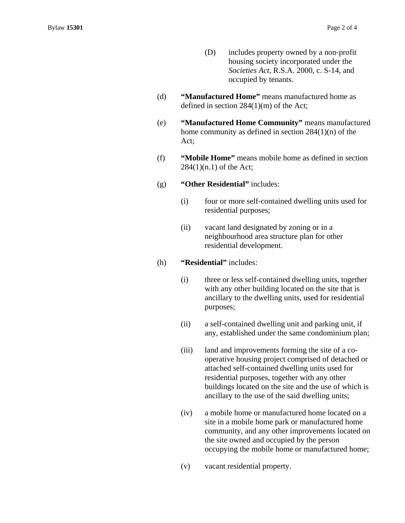- (D) includes property owned by a non-profit housing society incorporated under the *Societies Act*, R.S.A. 2000, c. S-14, and occupied by tenants.
- (d) **"Manufactured Home"** means manufactured home as defined in section 284(1)(m) of the Act;
- (e) **"Manufactured Home Community"** means manufactured home community as defined in section 284(1)(n) of the Act;
- (f) **"Mobile Home"** means mobile home as defined in section 284(1)(n.1) of the Act;
- (g) **"Other Residential"** includes:
	- (i) four or more self-contained dwelling units used for residential purposes;
	- (ii) vacant land designated by zoning or in a neighbourhood area structure plan for other residential development.
- (h) **"Residential"** includes:
	- (i) three or less self-contained dwelling units, together with any other building located on the site that is ancillary to the dwelling units, used for residential purposes;
	- (ii) a self-contained dwelling unit and parking unit, if any, established under the same condominium plan;
	- (iii) land and improvements forming the site of a cooperative housing project comprised of detached or attached self-contained dwelling units used for residential purposes, together with any other buildings located on the site and the use of which is ancillary to the use of the said dwelling units;
	- (iv) a mobile home or manufactured home located on a site in a mobile home park or manufactured home community, and any other improvements located on the site owned and occupied by the person occupying the mobile home or manufactured home;
	- (v) vacant residential property.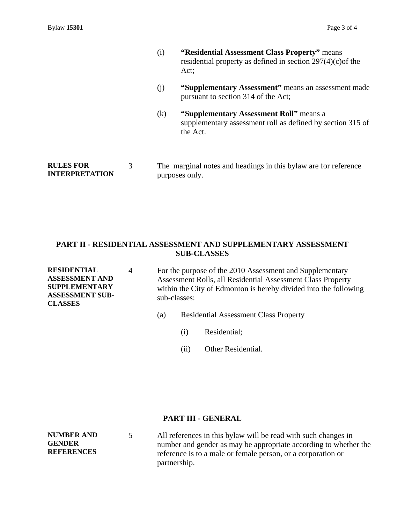- (i) **"Residential Assessment Class Property"** means residential property as defined in section 297(4)(c)of the Act;
- (j) **"Supplementary Assessment"** means an assessment made pursuant to section 314 of the Act;
- (k) **"Supplementary Assessment Roll"** means a supplementary assessment roll as defined by section 315 of the Act.

**RULES FOR INTERPRETATION** 

# **PART II - RESIDENTIAL ASSESSMENT AND SUPPLEMENTARY ASSESSMENT SUB-CLASSES**

**RESIDENTIAL ASSESSMENT AND SUPPLEMENTARY ASSESSMENT SUB-CLASSES** 

4 For the purpose of the 2010 Assessment and Supplementary Assessment Rolls, all Residential Assessment Class Property within the City of Edmonton is hereby divided into the following sub-classes:

- (a) Residential Assessment Class Property
	- (i) Residential;
	- (ii) Other Residential.

### **PART III - GENERAL**

**NUMBER AND GENDER REFERENCES** 

5 All references in this bylaw will be read with such changes in number and gender as may be appropriate according to whether the reference is to a male or female person, or a corporation or partnership.

<sup>3</sup> The marginal notes and headings in this bylaw are for reference purposes only.